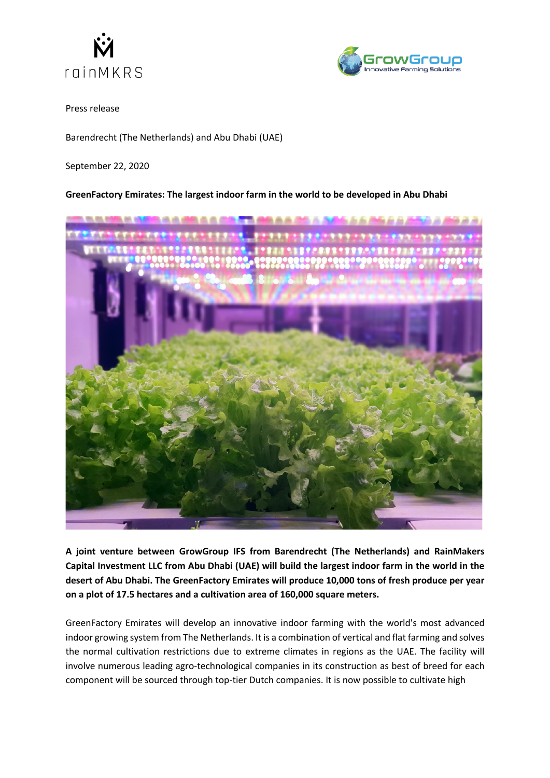



Press release

Barendrecht (The Netherlands) and Abu Dhabi (UAE)

September 22, 2020

## **GreenFactory Emirates: The largest indoor farm in the world to be developed in Abu Dhabi**



**A joint venture between GrowGroup IFS from Barendrecht (The Netherlands) and RainMakers Capital Investment LLC from Abu Dhabi (UAE) will build the largest indoor farm in the world in the desert of Abu Dhabi. The GreenFactory Emirates will produce 10,000 tons of fresh produce per year on a plot of 17.5 hectares and a cultivation area of 160,000 square meters.** 

GreenFactory Emirates will develop an innovative indoor farming with the world's most advanced indoor growing system from The Netherlands. It is a combination of vertical and flat farming and solves the normal cultivation restrictions due to extreme climates in regions as the UAE. The facility will involve numerous leading agro-technological companies in its construction as best of breed for each component will be sourced through top-tier Dutch companies. It is now possible to cultivate high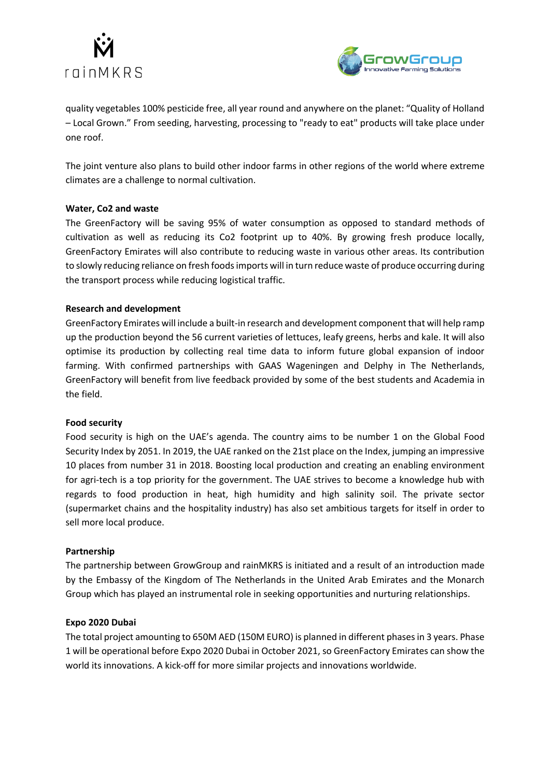



quality vegetables 100% pesticide free, all year round and anywhere on the planet: "Quality of Holland – Local Grown." From seeding, harvesting, processing to "ready to eat" products will take place under one roof.

The joint venture also plans to build other indoor farms in other regions of the world where extreme climates are a challenge to normal cultivation.

## **Water, Co2 and waste**

The GreenFactory will be saving 95% of water consumption as opposed to standard methods of cultivation as well as reducing its Co2 footprint up to 40%. By growing fresh produce locally, GreenFactory Emirates will also contribute to reducing waste in various other areas. Its contribution to slowly reducing reliance on fresh foods imports will in turn reduce waste of produce occurring during the transport process while reducing logistical traffic.

## **Research and development**

GreenFactory Emirates will include a built-in research and development component that will help ramp up the production beyond the 56 current varieties of lettuces, leafy greens, herbs and kale. It will also optimise its production by collecting real time data to inform future global expansion of indoor farming. With confirmed partnerships with GAAS Wageningen and Delphy in The Netherlands, GreenFactory will benefit from live feedback provided by some of the best students and Academia in the field.

## **Food security**

Food security is high on the UAE's agenda. The country aims to be number 1 on the Global Food Security Index by 2051. In 2019, the UAE ranked on the 21st place on the Index, jumping an impressive 10 places from number 31 in 2018. Boosting local production and creating an enabling environment for agri-tech is a top priority for the government. The UAE strives to become a knowledge hub with regards to food production in heat, high humidity and high salinity soil. The private sector (supermarket chains and the hospitality industry) has also set ambitious targets for itself in order to sell more local produce.

## **Partnership**

The partnership between GrowGroup and rainMKRS is initiated and a result of an introduction made by the Embassy of the Kingdom of The Netherlands in the United Arab Emirates and the Monarch Group which has played an instrumental role in seeking opportunities and nurturing relationships.

## **Expo 2020 Dubai**

The total project amounting to 650M AED (150M EURO) is planned in different phases in 3 years. Phase 1 will be operational before Expo 2020 Dubai in October 2021, so GreenFactory Emirates can show the world its innovations. A kick-off for more similar projects and innovations worldwide.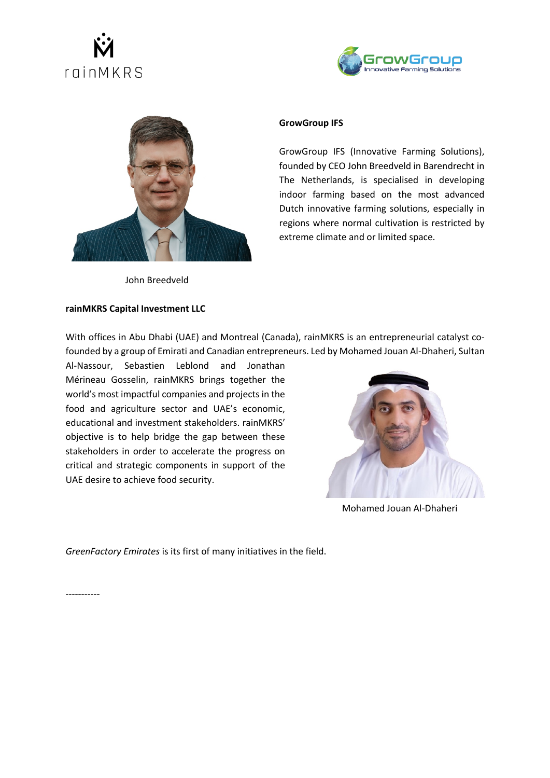# roinMKRS





John Breedveld

## **rainMKRS Capital Investment LLC**

## **GrowGroup IFS**

GrowGroup IFS (Innovative Farming Solutions), founded by CEO John Breedveld in Barendrecht in The Netherlands, is specialised in developing indoor farming based on the most advanced Dutch innovative farming solutions, especially in regions where normal cultivation is restricted by extreme climate and or limited space.

With offices in Abu Dhabi (UAE) and Montreal (Canada), rainMKRS is an entrepreneurial catalyst cofounded by a group of Emirati and Canadian entrepreneurs. Led by Mohamed Jouan Al-Dhaheri, Sultan

Al-Nassour, Sebastien Leblond and Jonathan Mérineau Gosselin, rainMKRS brings together the world's most impactful companies and projects in the food and agriculture sector and UAE's economic, educational and investment stakeholders. rainMKRS' objective is to help bridge the gap between these stakeholders in order to accelerate the progress on critical and strategic components in support of the UAE desire to achieve food security.



Mohamed Jouan Al-Dhaheri

*GreenFactory Emirates* is its first of many initiatives in the field.

-----------